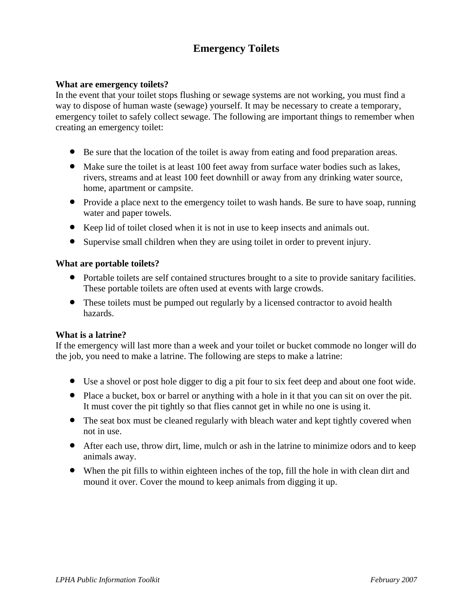# **Emergency Toilets**

### **What are emergency toilets?**

In the event that your toilet stops flushing or sewage systems are not working, you must find a way to dispose of human waste (sewage) yourself. It may be necessary to create a temporary, emergency toilet to safely collect sewage. The following are important things to remember when creating an emergency toilet:

- Be sure that the location of the toilet is away from eating and food preparation areas.
- Make sure the toilet is at least 100 feet away from surface water bodies such as lakes, rivers, streams and at least 100 feet downhill or away from any drinking water source, home, apartment or campsite.
- Provide a place next to the emergency toilet to wash hands. Be sure to have soap, running water and paper towels.
- Keep lid of toilet closed when it is not in use to keep insects and animals out.
- Supervise small children when they are using toilet in order to prevent injury.

### **What are portable toilets?**

- Portable toilets are self contained structures brought to a site to provide sanitary facilities. These portable toilets are often used at events with large crowds.
- These toilets must be pumped out regularly by a licensed contractor to avoid health hazards.

### **What is a latrine?**

If the emergency will last more than a week and your toilet or bucket commode no longer will do the job, you need to make a latrine. The following are steps to make a latrine:

- Use a shovel or post hole digger to dig a pit four to six feet deep and about one foot wide.
- Place a bucket, box or barrel or anything with a hole in it that you can sit on over the pit. It must cover the pit tightly so that flies cannot get in while no one is using it.
- The seat box must be cleaned regularly with bleach water and kept tightly covered when not in use.
- After each use, throw dirt, lime, mulch or ash in the latrine to minimize odors and to keep animals away.
- When the pit fills to within eighteen inches of the top, fill the hole in with clean dirt and mound it over. Cover the mound to keep animals from digging it up.